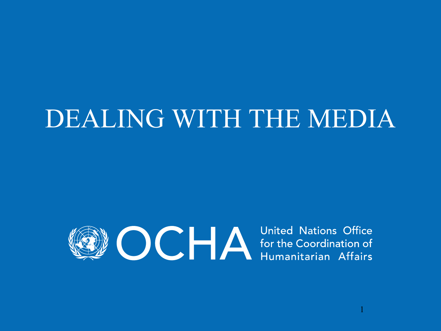## DEALING WITH THE MEDIA



1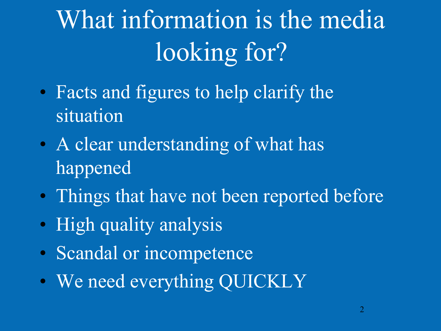# What information is the media looking for?

- Facts and figures to help clarify the situation
- A clear understanding of what has happened
- Things that have not been reported before
- High quality analysis
- Scandal or incompetence
- We need everything QUICKLY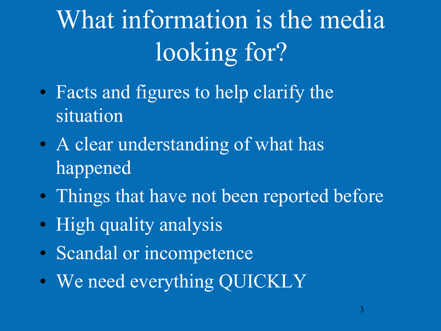# What information is the media looking for?

- Facts and figures to help clarify the situation
- A clear understanding of what has happened
- Things that have not been reported before
- High quality analysis
- Scandal or incompetence
- We need everything QUICKLY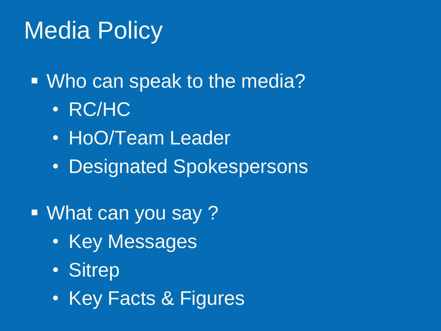## Media Policy

Who can speak to the media?

- RC/HC
- HoO/Team Leader
- Designated Spokespersons
- What can you say ?
	- Key Messages
	- Sitrep
	- Key Facts & Figures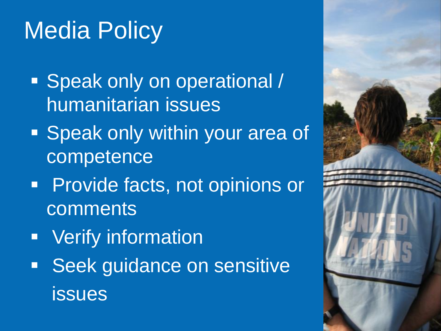## Media Policy

- **Speak only on operational /** humanitarian issues
- **Speak only within your area of** competence
- **Provide facts, not opinions or** comments
- **Verify information**
- **Seek guidance on sensitive** issues

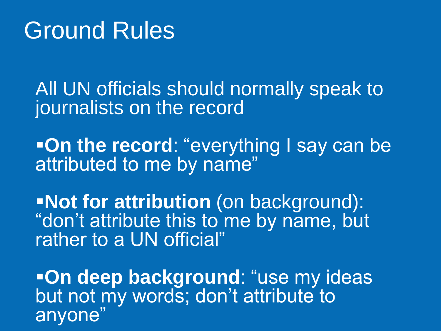#### Ground Rules

All UN officials should normally speak to journalists on the record

**-On the record: "everything I say can be** attributed to me by name"

**Not for attribution** (on background): "don't attribute this to me by name, but rather to a UN official"

**-On deep background: "use my ideas** but not my words; don't attribute to anyone"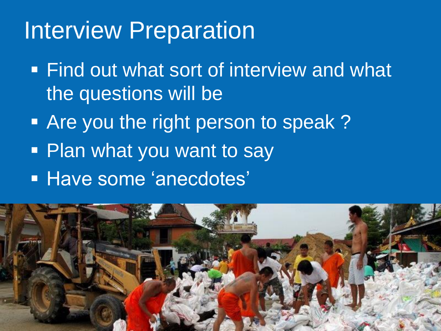### Interview Preparation

- **Find out what sort of interview and what** the questions will be
- **Are you the right person to speak?**
- Plan what you want to say
- **Have some 'anecdotes'**

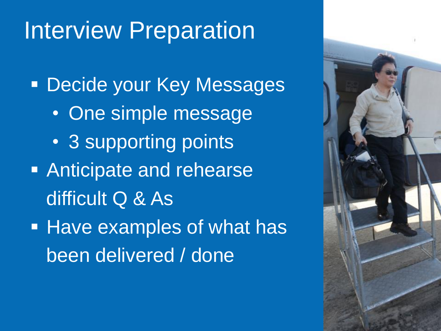## Interview Preparation

**Decide your Key Messages** • One simple message • 3 supporting points **Anticipate and rehearse**  difficult Q & As **Have examples of what has** been delivered / done

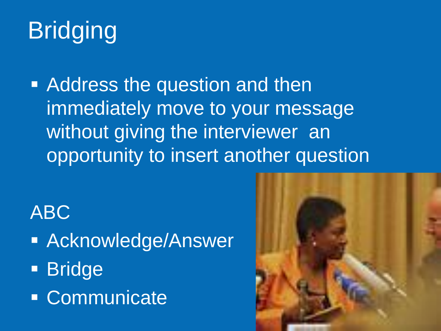## Bridging

**Address the question and then** immediately move to your message without giving the interviewer an opportunity to insert another question

ABC

- **Acknowledge/Answer**
- **Bridge**
- Communicate

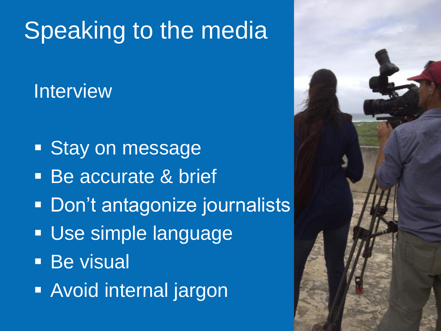## Speaking to the media

#### **Interview**

- **Stay on message**
- Be accurate & brief
- **Don't antagonize journalists**
- **Use simple language**
- **Be visual**
- **Avoid internal jargon**

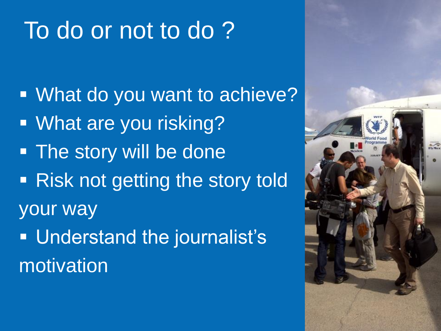## To do or not to do ?

 What do you want to achieve? **Nhat are you risking? The story will be done** • Risk not getting the story told your way **Understand the journalist's** motivation

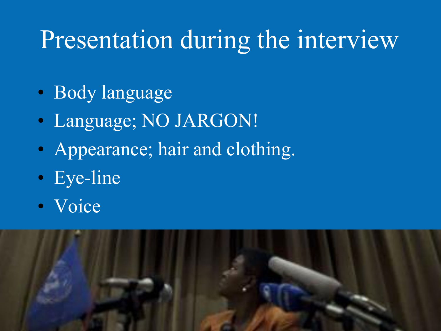## Presentation during the interview

- Body language
- Language; NO JARGON!
- Appearance; hair and clothing.
- Eye-line
- Voice

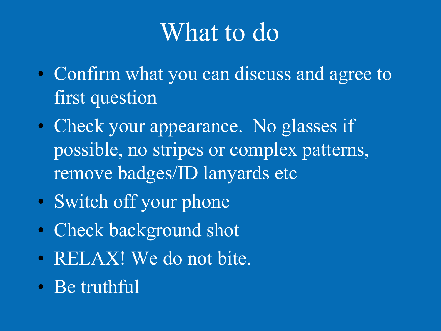## What to do

- Confirm what you can discuss and agree to first question
- Check your appearance. No glasses if possible, no stripes or complex patterns, remove badges/ID lanyards etc
- Switch off your phone
- Check background shot
- RELAX! We do not bite.
- Be truthful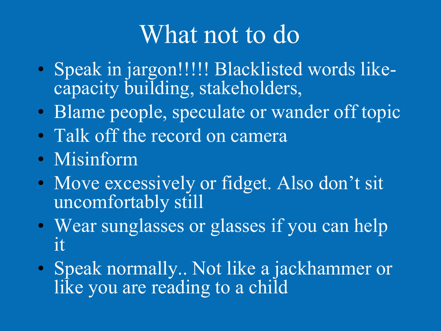## What not to do

- Speak in jargon!!!!! Blacklisted words likecapacity building, stakeholders,
- Blame people, speculate or wander off topic
- Talk off the record on camera
- Misinform
- Move excessively or fidget. Also don't sit uncomfortably still
- Wear sunglasses or glasses if you can help it
- Speak normally.. Not like a jackhammer or like you are reading to a child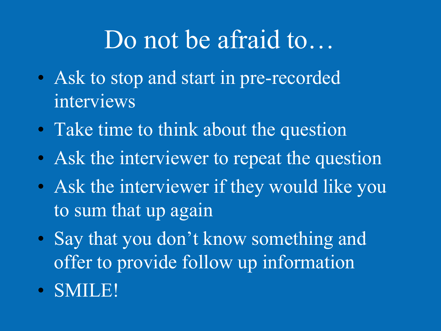## Do not be afraid to…

- Ask to stop and start in pre-recorded interviews
- Take time to think about the question
- Ask the interviewer to repeat the question
- Ask the interviewer if they would like you to sum that up again
- Say that you don't know something and offer to provide follow up information
- SMILE!